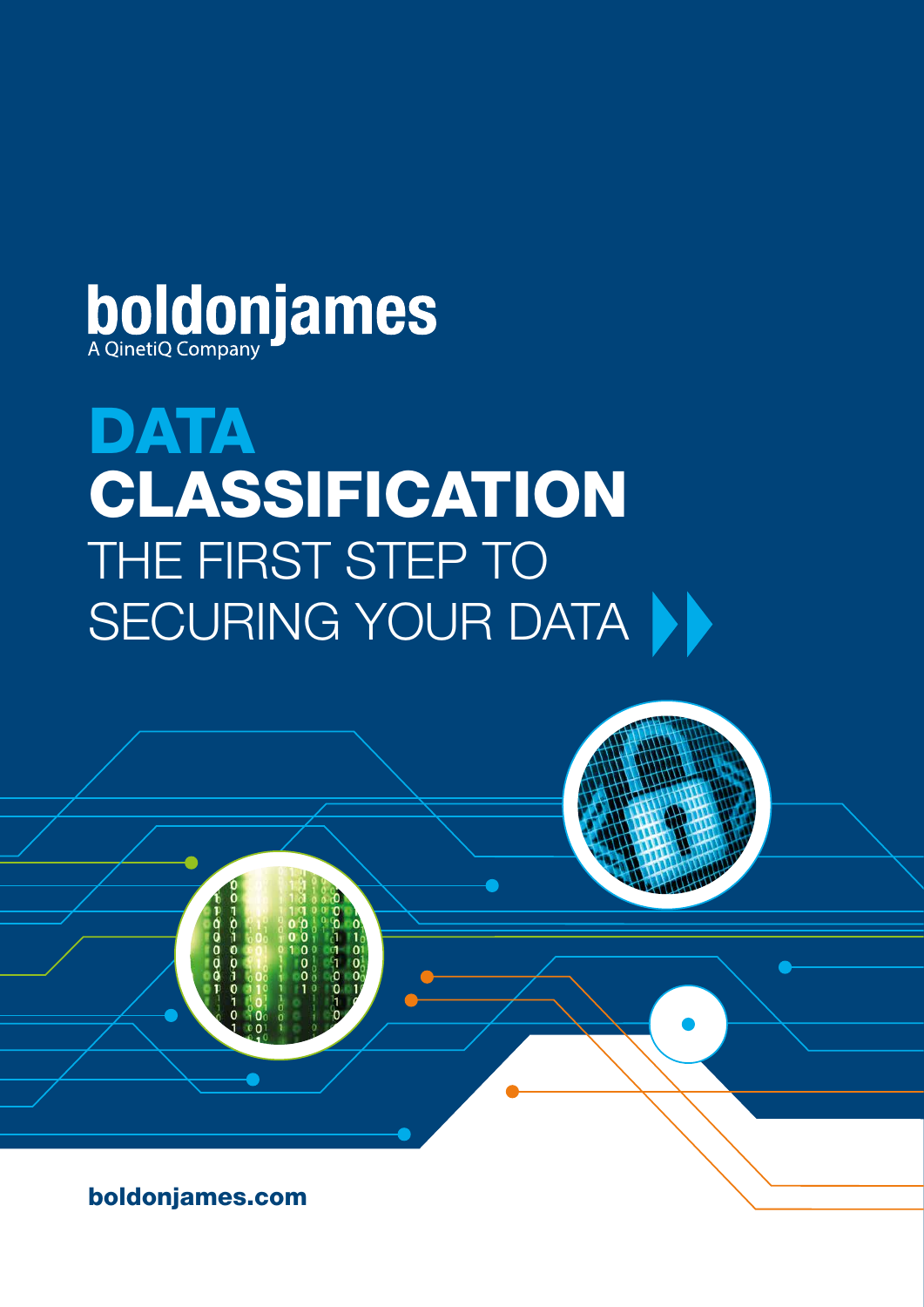

# **DATA** CLASSIFICATION THE FIRST STEP TO SECURING YOUR DATA

boldonjames.com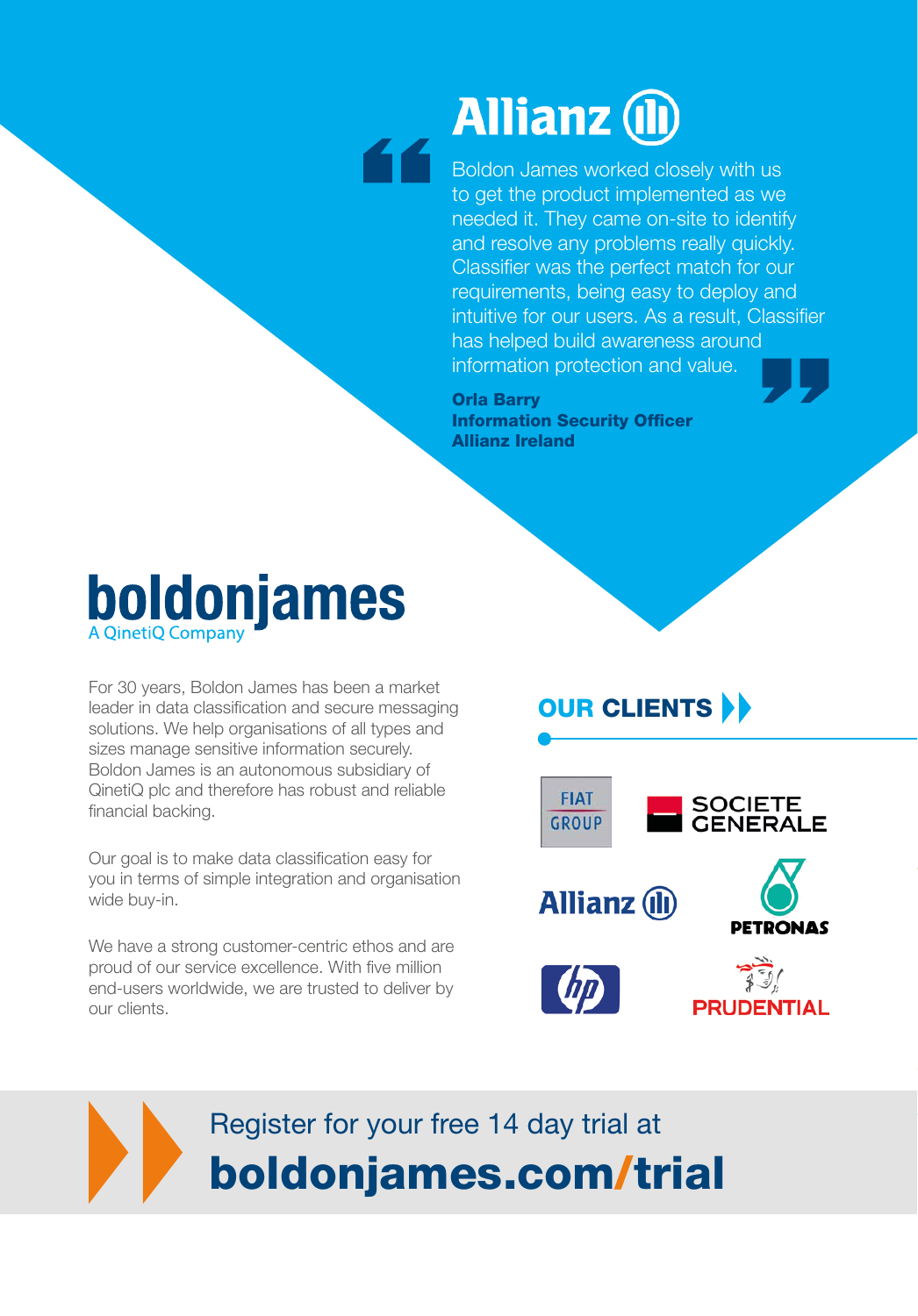# **Allianz (ll)**

**Boldon James worked closely with us** to get the product implemented as we needed it. They came on-site to identify and resolve any problems really quickly. Classifier was the perfect match for our requirements, being easy to deploy and intuitive for our users. As a result, Classifier has helped build awareness around information protection and value.

Orla Barry Information Security Officer Allianz Ireland

### **boldonjames A OinetiO Company**

For 30 years, Boldon James has been a market leader in data classification and secure messaging solutions. We help organisations of all types and sizes manage sensitive information securely. Boldon James is an autonomous subsidiary of QinetiQ plc and therefore has robust and reliable financial backing.

Our goal is to make data classification easy for you in terms of simple integration and organisation wide buy-in.

We have a strong customer-centric ethos and are proud of our service excellence. With five million end-users worldwide, we are trusted to deliver by our clients.

### **OUR CLIENTS DE**



## Register for your free 14 day trial at boldonjames.com/trial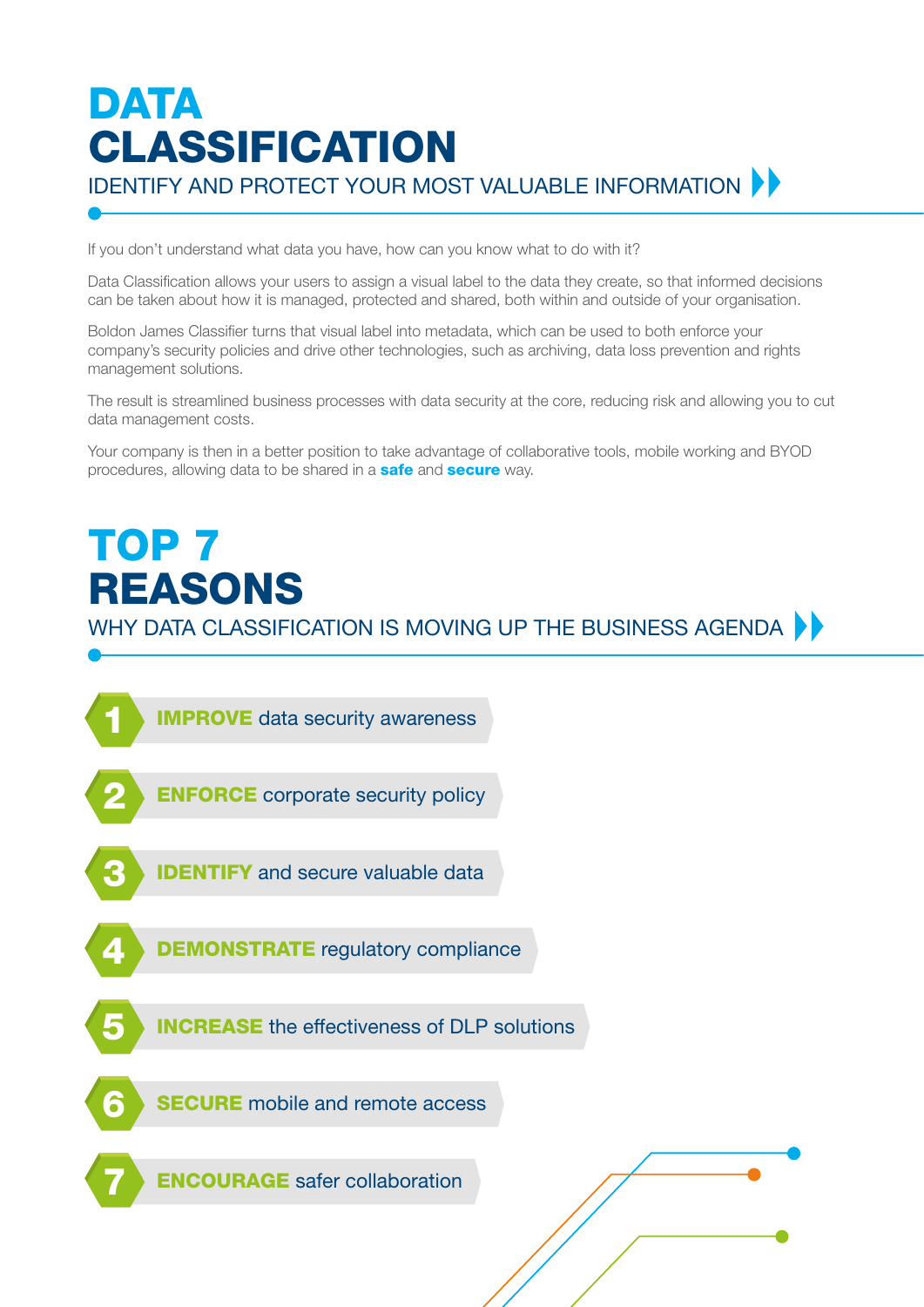### DATA CLASSIFICATION **IDENTIFY AND PROTECT YOUR MOST VALUABLE INFORMATION ▶▶**

If you don't understand what data you have, how can you know what to do with it?

Data Classification allows your users to assign a visual label to the data they create, so that informed decisions can be taken about how it is managed, protected and shared, both within and outside of your organisation.

Boldon James Classifier turns that visual label into metadata, which can be used to both enforce your company's security policies and drive other technologies, such as archiving, data loss prevention and rights management solutions.

The result is streamlined business processes with data security at the core, reducing risk and allowing you to cut data management costs.

Your company is then in a better position to take advantage of collaborative tools, mobile working and BYOD procedures, allowing data to be shared in a **safe** and **secure** way.

# TOP<sub>7</sub> REASONS

WHY DATA CLASSIFICATION IS MOVING UP THE BUSINESS AGENDA  $\blacktriangleright$ 

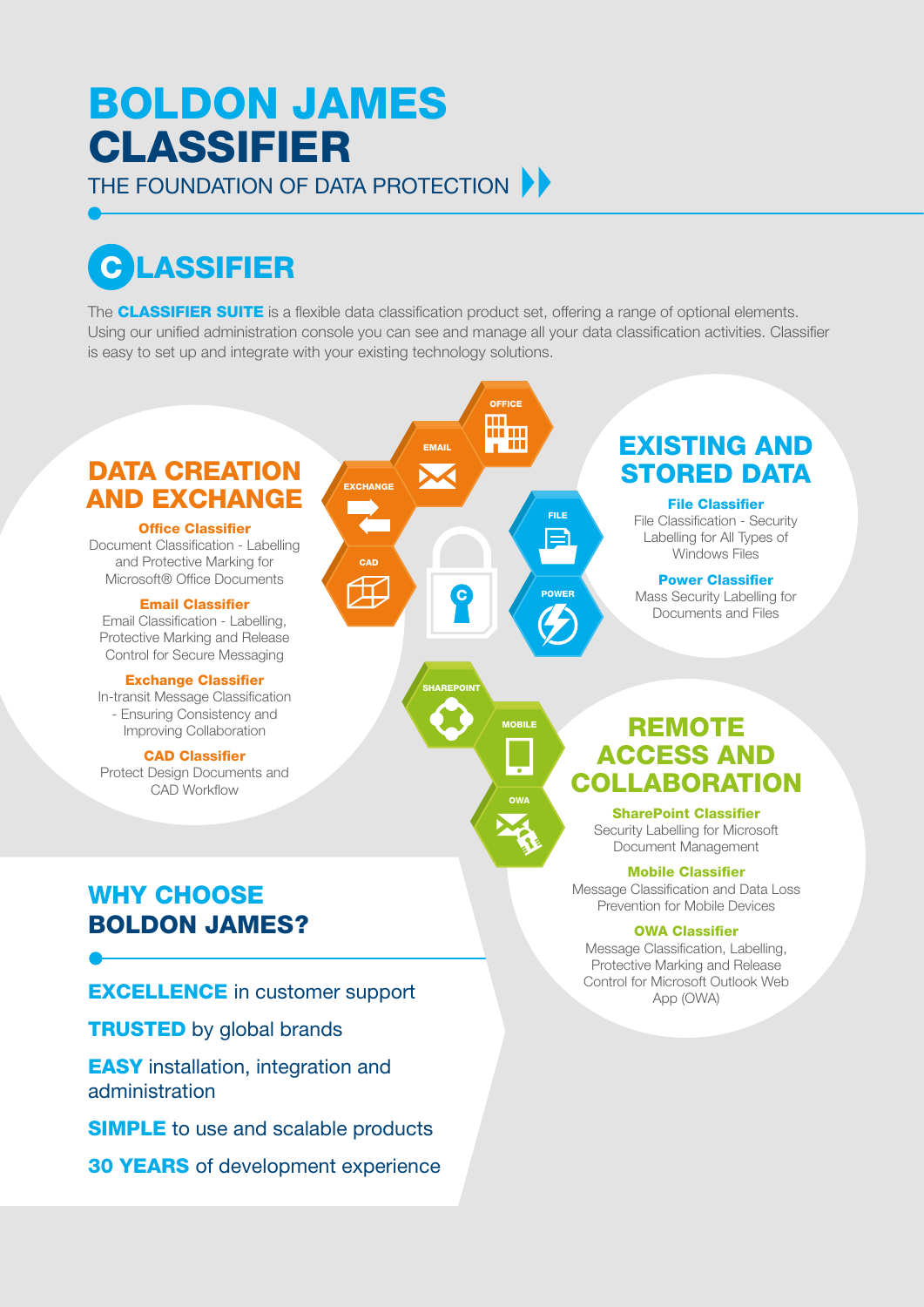### BOLDON JAMES CLASSIFIER THE FOUNDATION OF DATA PROTECTION

C LASSIFIER

The **CLASSIFIER SUITE** is a flexible data classification product set, offering a range of optional elements. Using our unified administration console you can see and manage all your data classification activities. Classifier is easy to set up and integrate with your existing technology solutions.



**SIMPLE** to use and scalable products

30 YEARS of development experience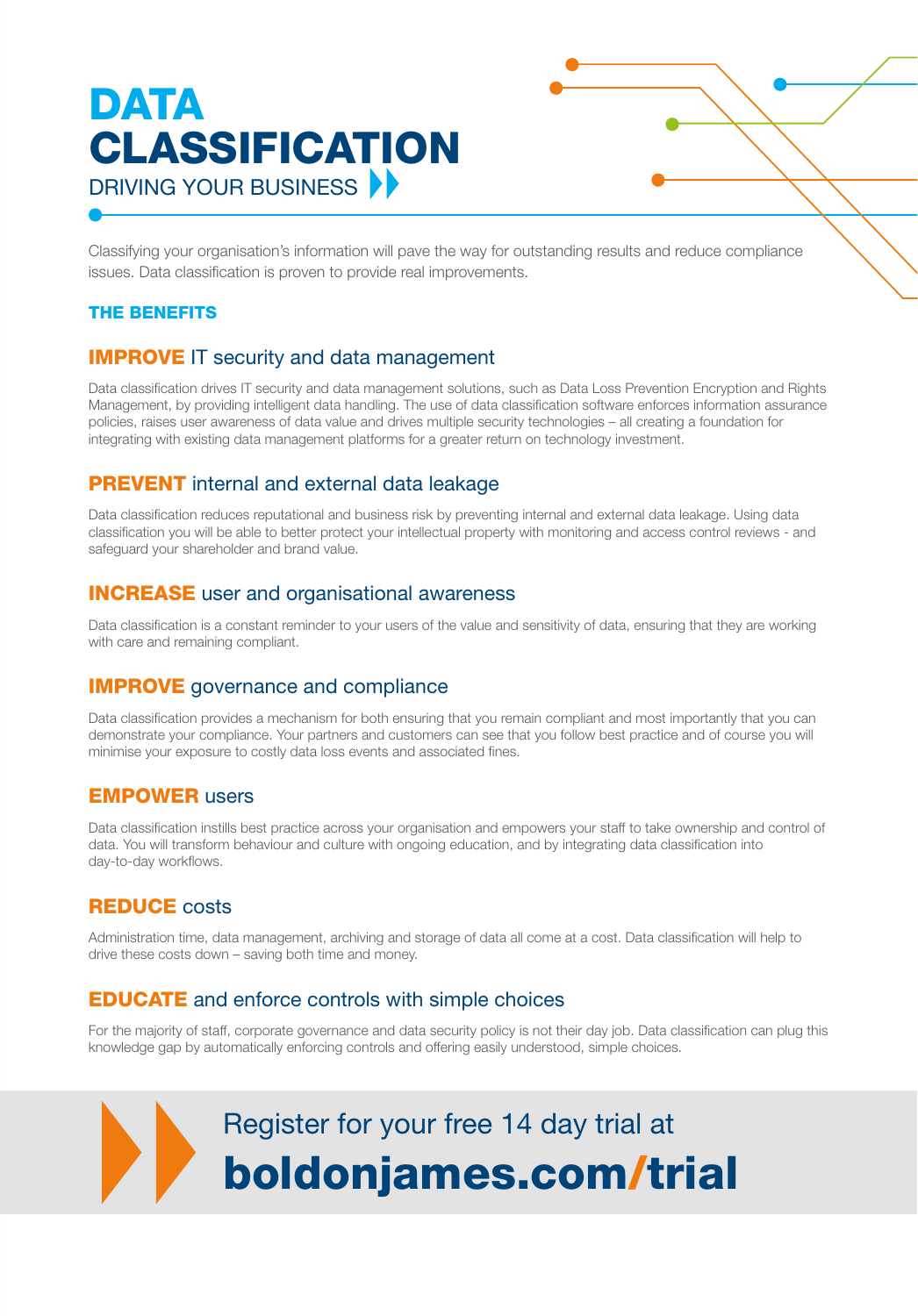## DATA CLASSIFICATION DRIVING YOUR BUSINESS

Classifying your organisation's information will pave the way for outstanding results and reduce compliance issues. Data classification is proven to provide real improvements.

#### THE BENEFITS

#### **IMPROVE IT security and data management**

Data classification drives IT security and data management solutions, such as Data Loss Prevention Encryption and Rights Management, by providing intelligent data handling. The use of data classification software enforces information assurance policies, raises user awareness of data value and drives multiple security technologies – all creating a foundation for integrating with existing data management platforms for a greater return on technology investment.

#### **PREVENT** internal and external data leakage

Data classification reduces reputational and business risk by preventing internal and external data leakage. Using data classification you will be able to better protect your intellectual property with monitoring and access control reviews - and safeguard your shareholder and brand value.

#### INCREASE user and organisational awareness

Data classification is a constant reminder to your users of the value and sensitivity of data, ensuring that they are working with care and remaining compliant.

#### **IMPROVE** governance and compliance

Data classification provides a mechanism for both ensuring that you remain compliant and most importantly that you can demonstrate your compliance. Your partners and customers can see that you follow best practice and of course you will minimise your exposure to costly data loss events and associated fines.

#### EMPOWER users

Data classification instills best practice across your organisation and empowers your staff to take ownership and control of data. You will transform behaviour and culture with ongoing education, and by integrating data classification into day-to-day workflows.

#### **REDUCE** costs

Administration time, data management, archiving and storage of data all come at a cost. Data classification will help to drive these costs down – saving both time and money.

#### EDUCATE and enforce controls with simple choices

For the majority of staff, corporate governance and data security policy is not their day job. Data classification can plug this knowledge gap by automatically enforcing controls and offering easily understood, simple choices.

# Register for your free 14 day trial at boldonjames.com/trial